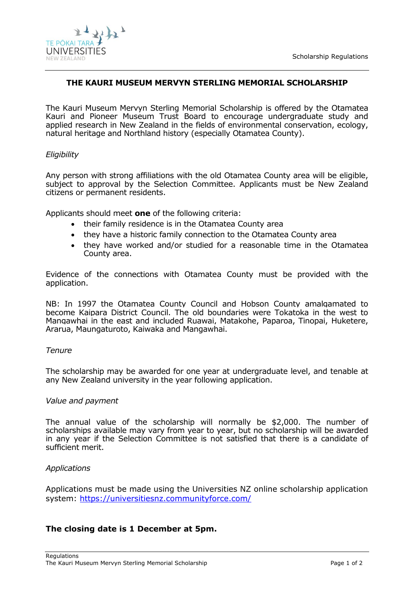

# **THE KAURI MUSEUM MERVYN STERLING MEMORIAL SCHOLARSHIP**

The Kauri Museum Mervyn Sterling Memorial Scholarship is offered by the Otamatea Kauri and Pioneer Museum Trust Board to encourage undergraduate study and applied research in New Zealand in the fields of environmental conservation, ecology, natural heritage and Northland history (especially Otamatea County).

## *Eligibility*

Any person with strong affiliations with the old Otamatea County area will be eligible, subject to approval by the Selection Committee. Applicants must be New Zealand citizens or permanent residents.

Applicants should meet **one** of the following criteria:

- their family residence is in the Otamatea County area
- they have a historic family connection to the Otamatea County area
- they have worked and/or studied for a reasonable time in the Otamatea County area.

Evidence of the connections with Otamatea County must be provided with the application.

NB: In 1997 the Otamatea County Council and Hobson County amalgamated to become Kaipara District Council. The old boundaries were Tokatoka in the west to Mangawhai in the east and included Ruawai, Matakohe, Paparoa, Tinopai, Huketere, Ararua, Maungaturoto, Kaiwaka and Mangawhai.

#### *Tenure*

The scholarship may be awarded for one year at undergraduate level, and tenable at any New Zealand university in the year following application.

#### *Value and payment*

The annual value of the scholarship will normally be \$2,000. The number of scholarships available may vary from year to year, but no scholarship will be awarded in any year if the Selection Committee is not satisfied that there is a candidate of sufficient merit.

# *Applications*

Applications must be made using the Universities NZ online scholarship application system:<https://universitiesnz.communityforce.com/>

# **The closing date is 1 December at 5pm.**